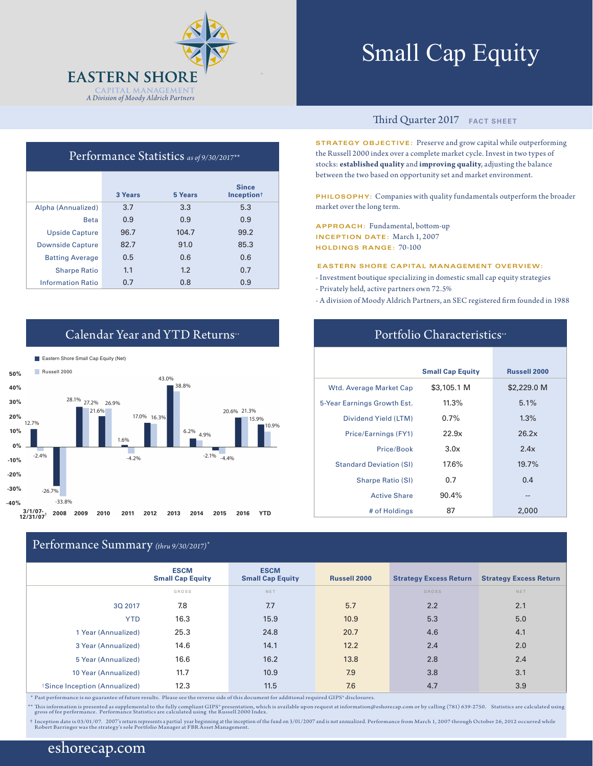

**3 Years 5 Years**

Performance Statistics *as of 9/30/2017\*\**

Beta 0.9 0.9 0.9

Alpha (Annualized) 3.7 3.3 5.3

Upside Capture 96.7 104.7 99.2 Downside Capture 82.7 91.0 85.3 Batting Average 0.5 0.6 0.6 Sharpe Ratio 1.1 1.2 0.7 Information Ratio 0.7 0.8 0.9

**Since Inception**†

# Small Cap Equity

#### Third Quarter 2017 **FACT SHEET**

**STRATEGY OBJECTIVE:** Preserve and grow capital while outperforming the Russell 2000 index over a complete market cycle. Invest in two types of stocks: **established quality** and **improving quality**, adjusting the balance between the two based on opportunity set and market environment.

**PHILOSOPHY:** Companies with quality fundamentals outperform the broader market over the long term.

**APPROACH:** Fundamental, bottom-up **INCEPTION DATE:** March 1, 2007 **HOLDINGS RANGE:** 70-100

**EASTERN SHORE CAPITAL MANAGEMENT OVERVIEW:**

- Investment boutique specializing in domestic small cap equity strategies
- Privately held, active partners own 72.5%
- A division of Moody Aldrich Partners, an SEC registered firm founded in 1988

Portfolio Characteristics\*\*

|                                | <b>Small Cap Equity</b> | <b>Russell 2000</b> |
|--------------------------------|-------------------------|---------------------|
| Wtd. Average Market Cap        | \$3,105.1 M             | \$2,229.0 M         |
| 5-Year Earnings Growth Est.    | 11.3%                   | 5.1%                |
| Dividend Yield (LTM)           | $0.7\%$                 | 1.3%                |
| Price/Earnings (FY1)           | 22.9x                   | 26.2x               |
| Price/Book                     | 3.0x                    | 2.4x                |
| <b>Standard Deviation (SI)</b> | 17.6%                   | 19.7%               |
| <b>Sharpe Ratio (SI)</b>       | 0.7                     | 0.4                 |
| <b>Active Share</b>            | 90.4%                   | --                  |
| # of Holdings                  | 87                      | 2,000               |

## Calendar Year and YTD Returns<sup>\*\*</sup>



### Performance Summary *(thru 9/30/2017)\**

|                              | <b>ESCM</b><br><b>Small Cap Equity</b> | <b>ESCM</b><br><b>Small Cap Equity</b> | <b>Russell 2000</b> | <b>Strategy Excess Return</b> | <b>Strategy Excess Return</b> |
|------------------------------|----------------------------------------|----------------------------------------|---------------------|-------------------------------|-------------------------------|
|                              | GROSS                                  | NET                                    |                     | <b>GROSS</b>                  | NET                           |
| 3Q 2017                      | 7.8                                    | 7.7                                    | 5.7                 | 2.2                           | 2.1                           |
| <b>YTD</b>                   | 16.3                                   | 15.9                                   | 10.9                | 5.3                           | 5.0                           |
| 1 Year (Annualized)          | 25.3                                   | 24.8                                   | 20.7                | 4.6                           | 4.1                           |
| 3 Year (Annualized)          | 14.6                                   | 14.1                                   | 12.2                | 2.4                           | 2.0                           |
| 5 Year (Annualized)          | 16.6                                   | 16.2                                   | 13.8                | 2.8                           | 2.4                           |
| 10 Year (Annualized)         | 11.7                                   | 10.9                                   | 7.9                 | 3.8                           | 3.1                           |
| Since Inception (Annualized) | 12.3                                   | 11.5                                   | 7.6                 | 4.7                           | 3.9                           |

\* Past performance is no guarantee of future results. Please see the reverse side of this document for additional required GIPS® disclosures.

\*\* This information is presented as supplemental to the fully compliant GIPS" presentation, which is available upon request at information@eshorecap.com or by calling (781) 639-2750. Statistics are calculated using<br>gros

+ Inception date is 03/01/07. 2007's return represents a partial year beginning at the inception of the fund on 3/01/2007 and is not annualized. Performance from March 1, 2007 through October 26, 2012 occurred while<br>Robert

## eshorecap.com